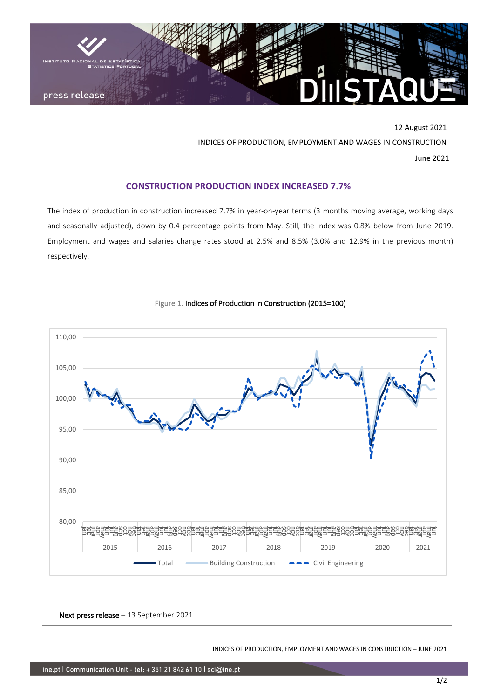

12 August 2021 INDICES OF PRODUCTION, EMPLOYMENT AND WAGES IN CONSTRUCTION June 2021

## **CONSTRUCTION PRODUCTION INDEX INCREASED 7.7%**

The index of production in construction increased 7.7% in year-on-year terms (3 months moving average, working days and seasonally adjusted), down by 0.4 percentage points from May. Still, the index was 0.8% below from June 2019. Employment and wages and salaries change rates stood at 2.5% and 8.5% (3.0% and 12.9% in the previous month) respectively.





Next press release – 13 September 2021

INDICES OF PRODUCTION, EMPLOYMENT AND WAGES IN CONSTRUCTION – JUNE 2021